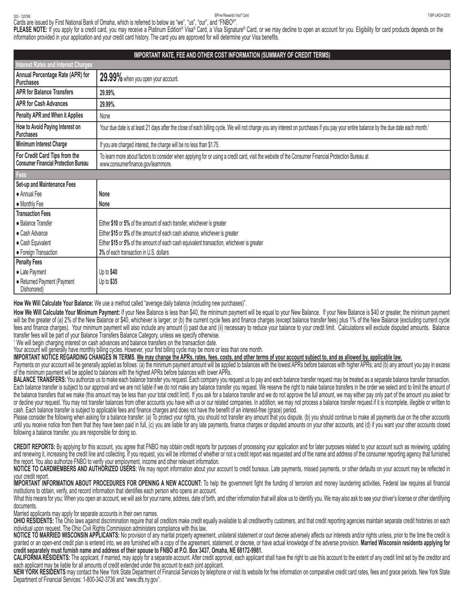## T-BP-LNCH-2205 303 - 125786 BPme Rewards Visa® Card

**PLEASE NOTE:** If you apply for a credit card, you may receive a Platinum Edition® Visa® Card, a Visa Signature® Card, or we may decline to open an account for you. Eligibility for card products depends on the information provided in your application and your credit card history. The card you are approved for will determine your Visa benefits. Cards are issued by First National Bank of Omaha, which is referred to below as "we", "us", "our", and "FNBO®".

| IMPORTANT RATE, FEE AND OTHER COST INFORMATION (SUMMARY OF CREDIT TERMS)     |                                                                                                                                                                                                   |  |
|------------------------------------------------------------------------------|---------------------------------------------------------------------------------------------------------------------------------------------------------------------------------------------------|--|
| Interest Rates and Interest Charges                                          |                                                                                                                                                                                                   |  |
| Annual Percentage Rate (APR) for<br>l Purchases                              | 29.99% when you open your account.                                                                                                                                                                |  |
| <b>APR for Balance Transfers</b>                                             | 29.99%.                                                                                                                                                                                           |  |
| <b>APR for Cash Advances</b>                                                 | 29.99%.                                                                                                                                                                                           |  |
| Penalty APR and When it Applies                                              | None                                                                                                                                                                                              |  |
| How to Avoid Paying Interest on<br>Purchases                                 | Your due date is at least 21 days after the close of each billing cycle. We will not charge you any interest on purchases if you pay your entire balance by the due date each month. <sup>5</sup> |  |
| Minimum Interest Charge                                                      | If you are charged interest, the charge will be no less than \$1.75.                                                                                                                              |  |
| For Credit Card Tips from the<br><b>Consumer Financial Protection Bureau</b> | To learn more about factors to consider when applying for or using a credit card, visit the website of the Consumer Financial Protection Bureau at<br>www.consumerfinance.gov/learnmore.          |  |
| Fees                                                                         |                                                                                                                                                                                                   |  |
| Set-up and Maintenance Fees                                                  |                                                                                                                                                                                                   |  |
| • Annual Fee                                                                 | None                                                                                                                                                                                              |  |
| • Monthly Fee                                                                | None                                                                                                                                                                                              |  |
| <b>Transaction Fees</b>                                                      |                                                                                                                                                                                                   |  |
| • Balance Transfer                                                           | Either \$10 or 5% of the amount of each transfer, whichever is greater                                                                                                                            |  |
| • Cash Advance                                                               | Either \$15 or 5% of the amount of each cash advance, whichever is greater                                                                                                                        |  |
| · Cash Equivalent                                                            | Either \$15 or 5% of the amount of each cash equivalent transaction, whichever is greater                                                                                                         |  |
| • Foreign Transaction                                                        | 3% of each transaction in U.S. dollars                                                                                                                                                            |  |
| <b>Penalty Fees</b>                                                          |                                                                                                                                                                                                   |  |
| • Late Payment                                                               | Up to $$40$                                                                                                                                                                                       |  |
| · Returned Payment (Payment<br>Dishonored)                                   | Up to \$35                                                                                                                                                                                        |  |

**How We Will Calculate Your Balance:** We use a method called "average daily balance (including new purchases)".

How We Will Calculate Your Minimum Payment: If your New Balance is less than \$40, the minimum payment will be equal to your New Balance. If your New Balance is \$40 or greater, the minimum payment will be the greater of (a) 2% of the New Balance or \$40, whichever is larger; or (b) the current cycle fees and finance charges (except balance transfer fees) plus 1% of the New Balance (excluding current cycle fees and finance charges). Your minimum payment will also include any amount (i) past due and (ii) necessary to reduce your balance to your credit limit. Calculations will exclude disputed amounts. Balance transfer fees will be part of your Balance Transfers Balance Category, unless we specify otherwise.

<sup>1</sup> We will begin charging interest on cash advances and balance transfers on the transaction date.

Your account will generally have monthly billing cycles. However, your first billing cycle may be more or less than one month.

**IMPORTANT NOTICE REGARDING CHANGES IN TERMS**. **We may change the APRs, rates, fees, costs, and other terms of your account subject to, and as allowed by, applicable law.**

Payments on your account will be generally applied as follows: (a) the minimum payment amount will be applied to balances with the lowest APRs before balances with higher APRs; and (b) any amount you pay in excess of the minimum payment will be applied to balances with the highest APRs before balances with lower APRs.

**BALANCE TRANSFERS:** You authorize us to make each balance transfer you request. Each company you request us to pay and each balance transfer request may be treated as a separate balance transfer transaction. Each balance transfer is subject to our approval and we are not liable if we do not make any balance transfer you request. We reserve the right to make balance transfers in the order we select and to limit the amount of the balance transfers that we make (this amount may be less than your total credit limit). If you ask for a balance transfer and we do not approve the full amount, we may either pay only part of the amount you asked for or decline your request. You may not transfer balances from other accounts you have with us or our related companies. In addition, we may not process a balance transfer request if it is incomplete, illegible or written to cash. Each balance transfer is subject to applicable fees and finance charges and does not have the benefit of an interest-free (grace) period.

Please consider the following when asking for a balance transfer: (a) To protect your rights, you should not transfer any amount that you dispute, (b) you should continue to make all payments due on the other accounts until you receive notice from them that they have been paid in full, (c) you are liable for any late payments, finance charges or disputed amounts on your other accounts, and (d) if you want your other accounts closed following a balance transfer, you are responsible for doing so.

**CREDIT REPORTS:** By applying for this account, you agree that FNBO may obtain credit reports for purposes of processing your application and for later purposes related to your account such as reviewing, updating and renewing it, increasing the credit line and collecting. If you request, you will be informed of whether or not a credit report was requested and of the name and address of the consumer reporting agency that furnished the report. You also authorize FNBO to verify your employment, income and other relevant information.

**NOTICE TO CARDMEMBERS AND AUTHORIZED USERS:** We may report information about your account to credit bureaus. Late payments, missed payments, or other defaults on your account may be reflected in your credit report.

IMPORTANT INFORMATION ABOUT PROCEDURES FOR OPENING A NEW ACCOUNT: To help the government fight the funding of terrorism and money laundering activities, Federal law requires all financial institutions to obtain, verify, and record information that identifies each person who opens an account.

What this means for you: When you open an account, we will ask for your name, address, date of birth, and other information that will allow us to identify you. We may also ask to see your driver's license or other identify documents.

Married applicants may apply for separate accounts in their own names.

OHIO RESIDENTS: The Ohio laws against discrimination require that all creditors make credit equally available to all creditworthy customers, and that credit reporting agencies maintain separate credit histories on each individual upon request. The Ohio Civil Rights Commission administers compliance with this law.

**NOTICE TO MARRIED WISCONSIN APPLICANTS:** No provision of any marital property agreement, unilateral statement or court decree adversely affects our interests and/or rights unless, prior to the time the credit is granted or an open-end credit plan is entered into, we are furnished with a copy of the agreement, statement, or decree, or have actual knowledge of the adverse provision. Married Wisconsin residents applying for **credit separately must furnish name and address of their spouse to FNBO at P.O. Box 3437, Omaha, NE 68172-9981.**

CALIFORNIA RESIDENTS: The applicant, if married, may apply for a separate account. After credit approval, each applicant shall have the right to use this account to the extent of any credit limit set by the creditor and each applicant may be liable for all amounts of credit extended under this account to each joint applicant.

**NEW YORK RESIDENTS** may contact the New York State Department of Financial Services by telephone or visit its website for free information on comparative credit card rates, fees and grace periods. New York State Department of Financial Services: 1-800-342-3736 and "www.dfs.ny.gov".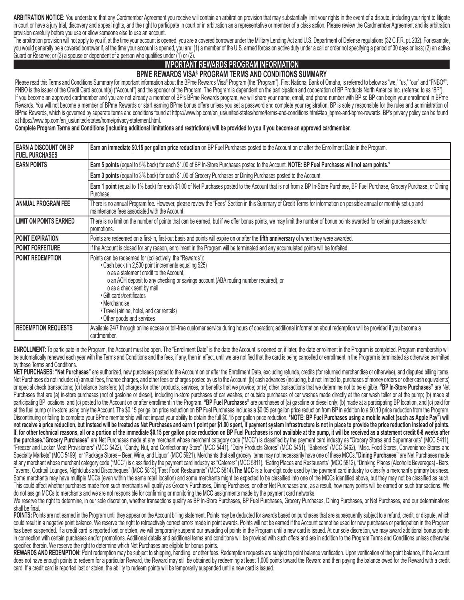**ARBITRATION NOTICE:** You understand that any Cardmember Agreement you receive will contain an arbitration provision that may substantially limit your rights in the event of a dispute, including your right to litigate in court or have a jury trial, discovery and appeal rights, and the right to participate in court or in arbitration as a representative or member of a class action. Please review the Cardmember Agreement and its arbitratio provision carefully before you use or allow someone else to use an account.

The arbitration provision will not apply to you if, at the time your account is opened, you are a covered borrower under the Military Lending Act and U.S. Department of Defense regulations (32 C.F.R. pt. 232). For example, you would generally be a covered borrower if, at the time your account is opened, you are: (1) a member of the U.S. armed forces on active duty under a call or order not specifying a period of 30 days or less; (2) an active Guard or Reserve; or (3) a spouse or dependent of a person who qualifies under (1) or (2).

## **IMPORTANT REWARDS PROGRAM INFORMATION**

## **BPME REWARDS VISA® PROGRAM TERMS AND CONDITIONS SUMMARY**

Please read this Terms and Conditions Summary for important information about the BPme Rewards Visa® Program (the "Program"). First National Bank of Omaha, is referred to below as "we," "us," "our" and "FNBO®" FNBO is the issuer of the Credit Card account(s) ("Account") and the sponsor of the Program. The Program is dependent on the participation and cooperation of BP Products North America Inc. (referred to as "BP"). If you become an approved cardmember and you are not already a member of BP's BPme Rewards program, we will share your name, email, and phone number with BP so BP can begin your enrollment in BPme Rewards. You will not become a member of BPme Rewards or start earning BPme bonus offers unless you set a password and complete your registration. BP is solely responsible for the rules and administration of BPme Rewards, which is governed by separate terms and conditions found at https://www.bp.com/en\_us/united-states/home/terms-and-conditions.html#tab\_bpme-and-bpme-rewards. BP's privacy policy can be found at https://www.bp.com/en\_us/united-states/home/privacy-statement.html.

**Complete Program Terms and Conditions (including additional limitations and restrictions) will be provided to you if you become an approved cardmember.**

| EARN A DISCOUNT ON BP<br><b>FUEL PURCHASES</b> | Earn an immediate \$0.15 per gallon price reduction on BP Fuel Purchases posted to the Account on or after the Enrollment Date in the Program.                                                                                                                                                                                                                                                                |
|------------------------------------------------|---------------------------------------------------------------------------------------------------------------------------------------------------------------------------------------------------------------------------------------------------------------------------------------------------------------------------------------------------------------------------------------------------------------|
| <b>EARN POINTS</b>                             | Earn 5 points (equal to 5% back) for each \$1.00 of BP In-Store Purchases posted to the Account. NOTE: BP Fuel Purchases will not earn points.*                                                                                                                                                                                                                                                               |
|                                                | Earn 3 points (equal to 3% back) for each \$1.00 of Grocery Purchases or Dining Purchases posted to the Account.                                                                                                                                                                                                                                                                                              |
|                                                | Earn 1 point (equal to 1% back) for each \$1.00 of Net Purchases posted to the Account that is not from a BP In-Store Purchase, BP Fuel Purchase, Grocery Purchase, or Dining<br>Purchase.                                                                                                                                                                                                                    |
| <b>ANNUAL PROGRAM FEE</b>                      | There is no annual Program fee. However, please review the "Fees" Section in this Summary of Credit Terms for information on possible annual or monthly set-up and<br>maintenance fees associated with the Account.                                                                                                                                                                                           |
| <b>LIMIT ON POINTS EARNED</b>                  | There is no limit on the number of points that can be earned, but if we offer bonus points, we may limit the number of bonus points awarded for certain purchases and/or<br>promotions.                                                                                                                                                                                                                       |
| <b>POINT EXPIRATION</b>                        | Points are redeemed on a first-in, first-out basis and points will expire on or after the fifth anniversary of when they were awarded.                                                                                                                                                                                                                                                                        |
| <b>POINT FORFEITURE</b>                        | If the Account is closed for any reason, enrollment in the Program will be terminated and any accumulated points will be forfeited.                                                                                                                                                                                                                                                                           |
| <b>POINT REDEMPTION</b>                        | Points can be redeemed for (collectively, the "Rewards"):<br>• Cash back (in 2,500 point increments equaling \$25)<br>o as a statement credit to the Account,<br>o an ACH deposit to any checking or savings account (ABA routing number required), or<br>o as a check sent by mail<br>· Gift cards/certificates<br>• Merchandise<br>• Travel (airline, hotel, and car rentals)<br>• Other goods and services |
| <b>REDEMPTION REQUESTS</b>                     | Available 24/7 through online access or toll-free customer service during hours of operation; additional information about redemption will be provided if you become a<br>cardmember.                                                                                                                                                                                                                         |

**ENROLLMENT:** To participate in the Program, the Account must be open. The "Enrollment Date" is the date the Account is opened or, if later, the date enrollment in the Program is completed. Program membership will be automatically renewed each year with the Terms and Conditions and the fees, if any, then in effect, until we are notified that the card is being cancelled or enrollment in the Program is terminated as otherwise permitte by these Terms and Conditions.

**NET PURCHASES: "Net Purchases"** are authorized, new purchases posted to the Account on or after the Enrollment Date, excluding refunds, credits (for returned merchandise or otherwise), and disputed billing items. Net Purchases do not include: (a) annual fees, finance charges, and other fees or charges posted by us to the Account; (b) cash advances (including, but not limited to, purchases of money orders or other cash equivalents) or special check transactions; (c) balance transfers; (d) charges for other products, services, or benefits that we provide; or (e) other transactions that we determine not to be eligible. "BP In-Store Purchases" are Net Purchases that are (a) in-store purchases (not of gasloine or diesel), including in-store purchases of car washes, or outside purchases of car washes made directly at the car wash teller or at the pump; (b) made at participating BP locations; and (c) posted to the Account on or after enrollment in the Program. "BP Fuel Purchases" are purchases of (a) gasoline or diesel only; (b) made at a participating BP location, and (c) paid for at the fuel pump or in-store using only the Account. The \$0.15 per gallon price reduction on BP Fuel Purchases includes a \$0.05 per gallon price reduction from BP in addition to a \$0.10 price reduction from the Program. Discontinuing or failing to complete your BPme membership will not impact your ability to obtain the full \$0.15 per gallon price reduction. \*NOTE: BP Fuel Purchases using a mobile wallet (such as Apple Pay<sup>®</sup>) will **not receive a price reduction, but instead will be treated as Net Purchases and earn 1 point per \$1.00 spent, if payment system infrastructure is not in place to provide the price reduction instead of points. If, for other technical reasons, all or a portion of the immediate \$0.15 per gallon price reduction on BP Fuel Purchases is not available at the pump, it will be received as a statement credit 6-8 weeks after the purchase."Grocery Purchases"** are Net Purchases made at any merchant whose merchant category code ("MCC") is classified by the payment card industry as "Grocery Stores and Supermarkets" (MCC 5411), "Freezer and Locker Meat Provisioners" (MCC 5422), "Candy, Nut, and Confectionary Store" (MCC 5441), "Dairy Products Stores" (MCC 5451), "Bakeries" (MCC 5462), "Misc. Food Stores, Convenience Stores and Specialty Markets" (MCC 5499), or "Package Stores – Beer, Wine, and Liquor" (MCC 5921). Merchants that sell grocery items may not necessarily have one of these MCCs.**"Dining Purchases"** are Net Purchases made at any merchant whose merchant category code ("MCC") is classified by the payment card industry as "Caterers" (MCC 5811), "Eating Places and Restaurants" (MCC 5812), "Drinking Places (Alcoholic Beverages) - Bars, Taverns, Cocktail Lounges, Nightclubs and Discotheques" (MCC 5813),"Fast Food Restaurants" (MCC 5814).**The MCC** is a four-digit code used by the payment card industry to classify a merchant's primary business. Some merchants may have multiple MCCs (even within the same retail location) and some merchants might be expected to be classified into one of the MCCs identified above, but they may not be classified as such. This could affect whether purchases made from such merchants will qualify as Grocery Purchases, Dining Purchases, or other Net Purchases and, as a result, how many points will be earned on such transactions. We do not assign MCCs to merchants and we are not responsible for confirming or monitoring the MCC assignments made by the payment card networks.

We reserve the right to determine, in our sole discretion, whether transactions qualify as BP In-Store Purchases, BP Fuel Purchases, Grocery Purchases, Dining Purchases, or Net Purchases, and our determinations shall be final.

POINTS: Points are not earned in the Program until they appear on the Account billing statement. Points may be deducted for awards based on purchases that are subsequently subject to a refund, credit, or dispute, which could result in a negative point balance. We reserve the right to retroactively correct errors made in point awards. Points will not be earned if the Account cannot be used for new purchases or participation in the Program has been suspended. If a credit card is reported lost or stolen, we will temporarily suspend our awarding of points in the Program until a new card is issued. At our sole discretion, we may award additional bonus points in connection with certain purchases and/or promotions. Additional details and additional terms and conditions will be provided with such offers and are in addition to the Program Terms and Conditions unless otherwise specified therein. We reserve the right to determine which Net Purchases are eligible for bonus points.

REWARDS AND REDEMPTION: Point redemption may be subject to shipping, handling, or other fees. Redemption requests are subject to point balance verification. Upon verification of the point balance, if the Account does not have enough points to redeem for a particular Reward, the Reward may still be obtained by redeeming at least 1,000 points toward the Reward and then paying the balance owed for the Reward with a credit card. If a credit card is reported lost or stolen, the ability to redeem points will be temporarily suspended until a new card is issued.